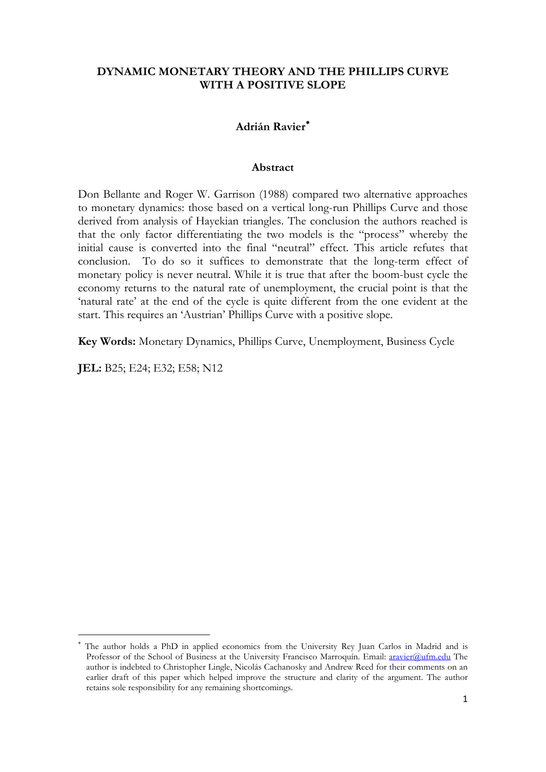### **DYNAMIC MONETARY THEORY AND THE PHILLIPS CURVE WITH A POSITIVE SLOPE**

### **Adrián Ravier**[∗](#page-0-0)

#### **Abstract**

Don Bellante and Roger W. Garrison (1988) compared two alternative approaches to monetary dynamics: those based on a vertical long-run Phillips Curve and those derived from analysis of Hayekian triangles. The conclusion the authors reached is that the only factor differentiating the two models is the "process" whereby the initial cause is converted into the final "neutral" effect. This article refutes that conclusion. To do so it suffices to demonstrate that the long-term effect of monetary policy is never neutral. While it is true that after the boom-bust cycle the economy returns to the natural rate of unemployment, the crucial point is that the 'natural rate' at the end of the cycle is quite different from the one evident at the start. This requires an 'Austrian' Phillips Curve with a positive slope.

**Key Words:** Monetary Dynamics, Phillips Curve, Unemployment, Business Cycle

**JEL:** B25; E24; E32; E58; N12

**.** 

<span id="page-0-0"></span>The author holds a PhD in applied economics from the University Rey Juan Carlos in Madrid and is Professor of the School of Business at the University Francisco Marroquín. Email: [aravier@ufm.edu](mailto:aravier@ufm.edu) The author is indebted to Christopher Lingle, Nicolás Cachanosky and Andrew Reed for their comments on an earlier draft of this paper which helped improve the structure and clarity of the argument. The author retains sole responsibility for any remaining shortcomings.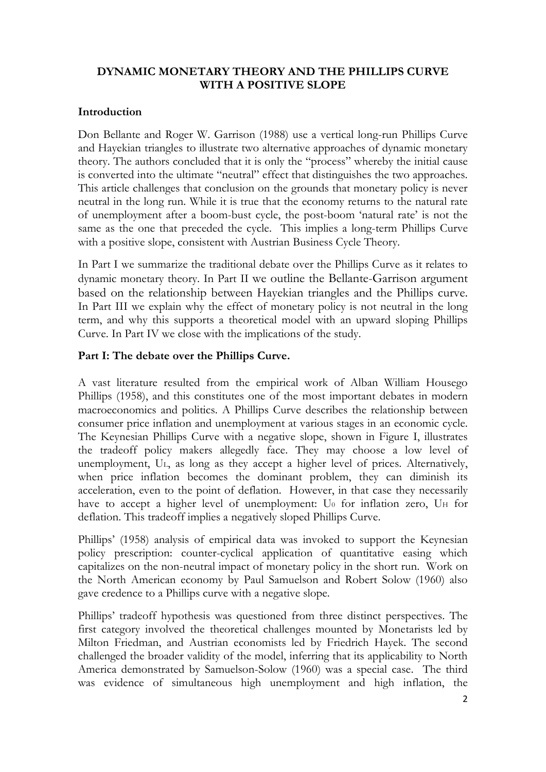# **DYNAMIC MONETARY THEORY AND THE PHILLIPS CURVE WITH A POSITIVE SLOPE**

## **Introduction**

Don Bellante and Roger W. Garrison (1988) use a vertical long-run Phillips Curve and Hayekian triangles to illustrate two alternative approaches of dynamic monetary theory. The authors concluded that it is only the "process" whereby the initial cause is converted into the ultimate "neutral" effect that distinguishes the two approaches. This article challenges that conclusion on the grounds that monetary policy is never neutral in the long run. While it is true that the economy returns to the natural rate of unemployment after a boom-bust cycle, the post-boom 'natural rate' is not the same as the one that preceded the cycle. This implies a long-term Phillips Curve with a positive slope, consistent with Austrian Business Cycle Theory.

In Part I we summarize the traditional debate over the Phillips Curve as it relates to dynamic monetary theory. In Part II we outline the Bellante-Garrison argument based on the relationship between Hayekian triangles and the Phillips curve. In Part III we explain why the effect of monetary policy is not neutral in the long term, and why this supports a theoretical model with an upward sloping Phillips Curve. In Part IV we close with the implications of the study.

# **Part I: The debate over the Phillips Curve.**

A vast literature resulted from the empirical work of Alban William Housego Phillips (1958), and this constitutes one of the most important debates in modern macroeconomics and politics. A Phillips Curve describes the relationship between consumer price inflation and unemployment at various stages in an economic cycle. The Keynesian Phillips Curve with a negative slope, shown in Figure I, illustrates the tradeoff policy makers allegedly face. They may choose a low level of unemployment, UL, as long as they accept a higher level of prices. Alternatively, when price inflation becomes the dominant problem, they can diminish its acceleration, even to the point of deflation. However, in that case they necessarily have to accept a higher level of unemployment: U<sub>0</sub> for inflation zero, U<sub>H</sub> for deflation. This tradeoff implies a negatively sloped Phillips Curve.

Phillips' (1958) analysis of empirical data was invoked to support the Keynesian policy prescription: counter-cyclical application of quantitative easing which capitalizes on the non-neutral impact of monetary policy in the short run. Work on the North American economy by Paul Samuelson and Robert Solow (1960) also gave credence to a Phillips curve with a negative slope.

Phillips' tradeoff hypothesis was questioned from three distinct perspectives. The first category involved the theoretical challenges mounted by Monetarists led by Milton Friedman, and Austrian economists led by Friedrich Hayek. The second challenged the broader validity of the model, inferring that its applicability to North America demonstrated by Samuelson-Solow (1960) was a special case. The third was evidence of simultaneous high unemployment and high inflation, the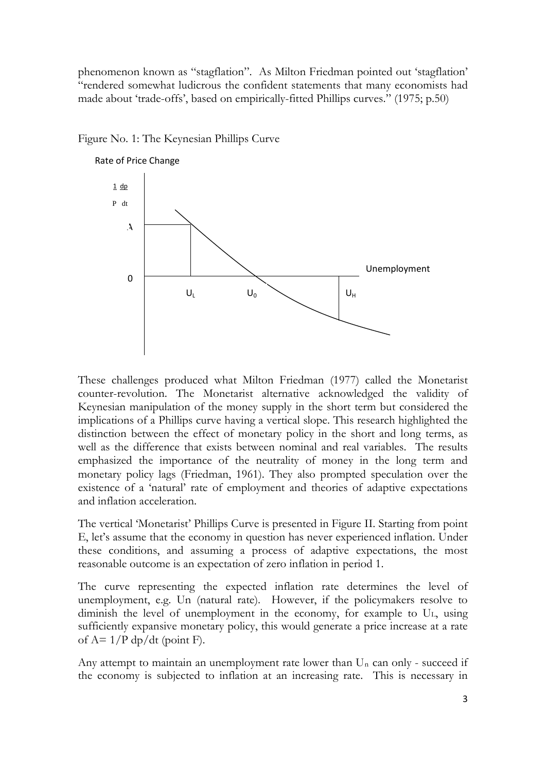phenomenon known as "stagflation". As Milton Friedman pointed out 'stagflation' "rendered somewhat ludicrous the confident statements that many economists had made about 'trade-offs', based on empirically-fitted Phillips curves." (1975; p.50)



Figure No. 1: The Keynesian Phillips Curve

These challenges produced what Milton Friedman (1977) called the Monetarist counter-revolution. The Monetarist alternative acknowledged the validity of Keynesian manipulation of the money supply in the short term but considered the implications of a Phillips curve having a vertical slope. This research highlighted the distinction between the effect of monetary policy in the short and long terms, as well as the difference that exists between nominal and real variables. The results emphasized the importance of the neutrality of money in the long term and monetary policy lags (Friedman, 1961). They also prompted speculation over the existence of a 'natural' rate of employment and theories of adaptive expectations and inflation acceleration.

The vertical 'Monetarist' Phillips Curve is presented in Figure II. Starting from point E, let's assume that the economy in question has never experienced inflation. Under these conditions, and assuming a process of adaptive expectations, the most reasonable outcome is an expectation of zero inflation in period 1.

The curve representing the expected inflation rate determines the level of unemployment, e.g. Un (natural rate). However, if the policymakers resolve to diminish the level of unemployment in the economy, for example to UL, using sufficiently expansive monetary policy, this would generate a price increase at a rate of  $A = 1/P \frac{dp}{dt}$  (point F).

Any attempt to maintain an unemployment rate lower than  $U_n$  can only - succeed if the economy is subjected to inflation at an increasing rate. This is necessary in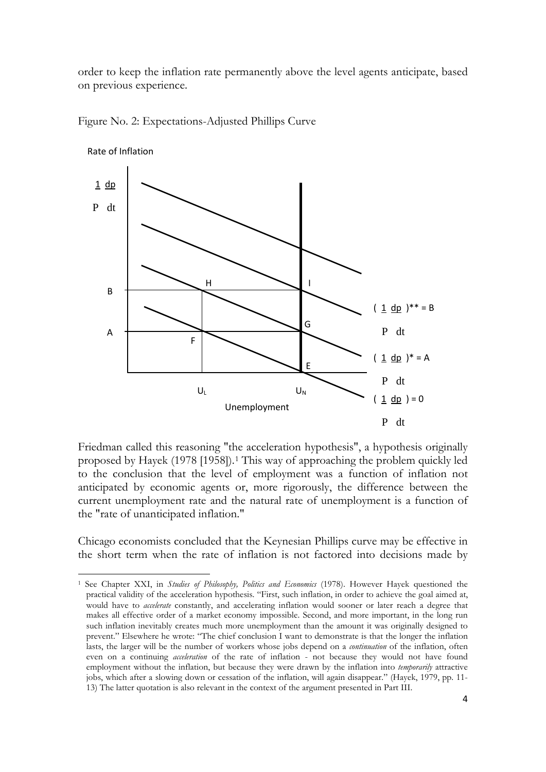order to keep the inflation rate permanently above the level agents anticipate, based on previous experience.



Figure No. 2: Expectations-Adjusted Phillips Curve

Friedman called this reasoning "the acceleration hypothesis", a hypothesis originally proposed by Hayek (1978 [1958]).[1](#page-3-0) This way of approaching the problem quickly led to the conclusion that the level of employment was a function of inflation not anticipated by economic agents or, more rigorously, the difference between the current unemployment rate and the natural rate of unemployment is a function of the "rate of unanticipated inflation."

Chicago economists concluded that the Keynesian Phillips curve may be effective in the short term when the rate of inflation is not factored into decisions made by

 $\overline{a}$ 

<span id="page-3-0"></span><sup>1</sup> See Chapter XXI, in *Studies of Philosophy, Politics and Economics* (1978). However Hayek questioned the practical validity of the acceleration hypothesis. "First, such inflation, in order to achieve the goal aimed at, would have to *accelerate* constantly, and accelerating inflation would sooner or later reach a degree that makes all effective order of a market economy impossible. Second, and more important, in the long run such inflation inevitably creates much more unemployment than the amount it was originally designed to prevent." Elsewhere he wrote: "The chief conclusion I want to demonstrate is that the longer the inflation lasts, the larger will be the number of workers whose jobs depend on a *continuation* of the inflation, often even on a continuing *acceleration* of the rate of inflation - not because they would not have found employment without the inflation, but because they were drawn by the inflation into *temporarily* attractive jobs, which after a slowing down or cessation of the inflation, will again disappear." (Hayek, 1979, pp. 11- 13) The latter quotation is also relevant in the context of the argument presented in Part III.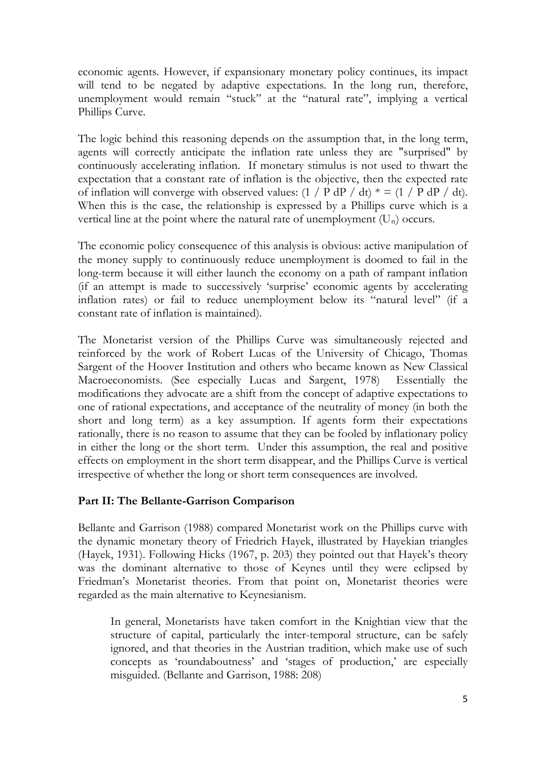economic agents. However, if expansionary monetary policy continues, its impact will tend to be negated by adaptive expectations. In the long run, therefore, unemployment would remain "stuck" at the "natural rate", implying a vertical Phillips Curve.

The logic behind this reasoning depends on the assumption that, in the long term, agents will correctly anticipate the inflation rate unless they are "surprised" by continuously accelerating inflation. If monetary stimulus is not used to thwart the expectation that a constant rate of inflation is the objective, then the expected rate of inflation will converge with observed values:  $(1 / P dP / dt) * = (1 / P dP / dt)$ . When this is the case, the relationship is expressed by a Phillips curve which is a vertical line at the point where the natural rate of unemployment  $(U_n)$  occurs.

The economic policy consequence of this analysis is obvious: active manipulation of the money supply to continuously reduce unemployment is doomed to fail in the long-term because it will either launch the economy on a path of rampant inflation (if an attempt is made to successively 'surprise' economic agents by accelerating inflation rates) or fail to reduce unemployment below its "natural level" (if a constant rate of inflation is maintained).

The Monetarist version of the Phillips Curve was simultaneously rejected and reinforced by the work of Robert Lucas of the University of Chicago, Thomas Sargent of the Hoover Institution and others who became known as New Classical Macroeconomists. (See especially Lucas and Sargent, 1978) Essentially the modifications they advocate are a shift from the concept of adaptive expectations to one of rational expectations, and acceptance of the neutrality of money (in both the short and long term) as a key assumption. If agents form their expectations rationally, there is no reason to assume that they can be fooled by inflationary policy in either the long or the short term. Under this assumption, the real and positive effects on employment in the short term disappear, and the Phillips Curve is vertical irrespective of whether the long or short term consequences are involved.

### **Part II: The Bellante-Garrison Comparison**

Bellante and Garrison (1988) compared Monetarist work on the Phillips curve with the dynamic monetary theory of Friedrich Hayek, illustrated by Hayekian triangles (Hayek, 1931). Following Hicks (1967, p. 203) they pointed out that Hayek's theory was the dominant alternative to those of Keynes until they were eclipsed by Friedman's Monetarist theories. From that point on, Monetarist theories were regarded as the main alternative to Keynesianism.

In general, Monetarists have taken comfort in the Knightian view that the structure of capital, particularly the inter-temporal structure, can be safely ignored, and that theories in the Austrian tradition, which make use of such concepts as 'roundaboutness' and 'stages of production,' are especially misguided. (Bellante and Garrison, 1988: 208)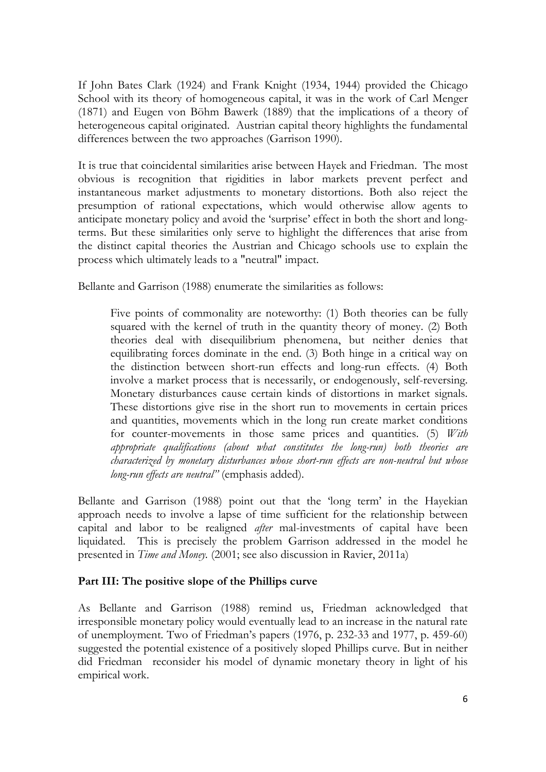If John Bates Clark (1924) and Frank Knight (1934, 1944) provided the Chicago School with its theory of homogeneous capital, it was in the work of Carl Menger (1871) and Eugen von Böhm Bawerk (1889) that the implications of a theory of heterogeneous capital originated. Austrian capital theory highlights the fundamental differences between the two approaches (Garrison 1990).

It is true that coincidental similarities arise between Hayek and Friedman. The most obvious is recognition that rigidities in labor markets prevent perfect and instantaneous market adjustments to monetary distortions. Both also reject the presumption of rational expectations, which would otherwise allow agents to anticipate monetary policy and avoid the 'surprise' effect in both the short and longterms. But these similarities only serve to highlight the differences that arise from the distinct capital theories the Austrian and Chicago schools use to explain the process which ultimately leads to a "neutral" impact.

Bellante and Garrison (1988) enumerate the similarities as follows:

Five points of commonality are noteworthy: (1) Both theories can be fully squared with the kernel of truth in the quantity theory of money. (2) Both theories deal with disequilibrium phenomena, but neither denies that equilibrating forces dominate in the end. (3) Both hinge in a critical way on the distinction between short-run effects and long-run effects. (4) Both involve a market process that is necessarily, or endogenously, self-reversing. Monetary disturbances cause certain kinds of distortions in market signals. These distortions give rise in the short run to movements in certain prices and quantities, movements which in the long run create market conditions for counter-movements in those same prices and quantities. (5) *With appropriate qualifications (about what constitutes the long-run) both theories are characterized by monetary disturbances whose short-run effects are non-neutral but whose long-run effects are neutral"* (emphasis added).

Bellante and Garrison (1988) point out that the 'long term' in the Hayekian approach needs to involve a lapse of time sufficient for the relationship between capital and labor to be realigned *after* mal-investments of capital have been liquidated. This is precisely the problem Garrison addressed in the model he presented in *Time and Money.* (2001; see also discussion in Ravier, 2011a)

# **Part III: The positive slope of the Phillips curve**

As Bellante and Garrison (1988) remind us, Friedman acknowledged that irresponsible monetary policy would eventually lead to an increase in the natural rate of unemployment. Two of Friedman's papers (1976, p. 232-33 and 1977, p. 459-60) suggested the potential existence of a positively sloped Phillips curve. But in neither did Friedman reconsider his model of dynamic monetary theory in light of his empirical work.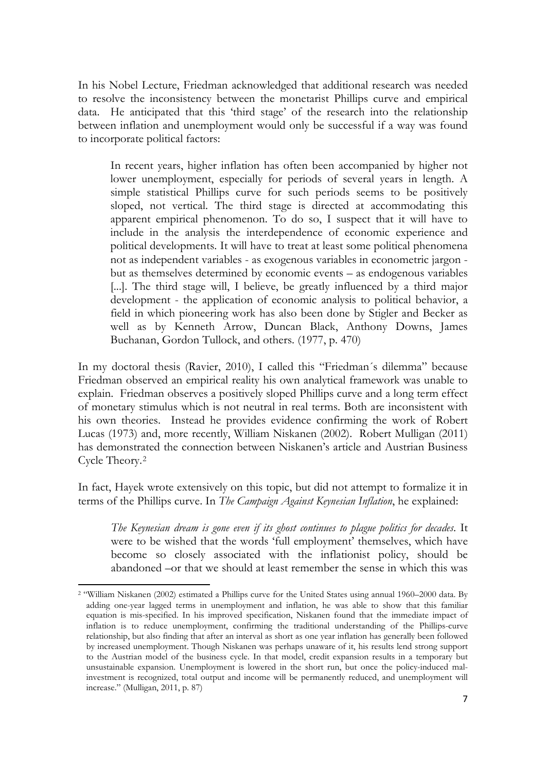In his Nobel Lecture, Friedman acknowledged that additional research was needed to resolve the inconsistency between the monetarist Phillips curve and empirical data. He anticipated that this 'third stage' of the research into the relationship between inflation and unemployment would only be successful if a way was found to incorporate political factors:

In recent years, higher inflation has often been accompanied by higher not lower unemployment, especially for periods of several years in length. A simple statistical Phillips curve for such periods seems to be positively sloped, not vertical. The third stage is directed at accommodating this apparent empirical phenomenon. To do so, I suspect that it will have to include in the analysis the interdependence of economic experience and political developments. It will have to treat at least some political phenomena not as independent variables - as exogenous variables in econometric jargon but as themselves determined by economic events – as endogenous variables [...]. The third stage will, I believe, be greatly influenced by a third major development - the application of economic analysis to political behavior, a field in which pioneering work has also been done by Stigler and Becker as well as by Kenneth Arrow, Duncan Black, Anthony Downs, James Buchanan, Gordon Tullock, and others. (1977, p. 470)

In my doctoral thesis (Ravier, 2010), I called this "Friedman´s dilemma" because Friedman observed an empirical reality his own analytical framework was unable to explain. Friedman observes a positively sloped Phillips curve and a long term effect of monetary stimulus which is not neutral in real terms. Both are inconsistent with his own theories. Instead he provides evidence confirming the work of Robert Lucas (1973) and, more recently, William Niskanen (2002). Robert Mulligan (2011) has demonstrated the connection between Niskanen's article and Austrian Business Cycle Theory.[2](#page-6-0)

In fact, Hayek wrote extensively on this topic, but did not attempt to formalize it in terms of the Phillips curve. In *The Campaign Against Keynesian Inflation*, he explained:

*The Keynesian dream is gone even if its ghost continues to plague politics for decades*. It were to be wished that the words 'full employment' themselves, which have become so closely associated with the inflationist policy, should be abandoned –or that we should at least remember the sense in which this was

 $\overline{a}$ 

<span id="page-6-0"></span><sup>2</sup> "William Niskanen (2002) estimated a Phillips curve for the United States using annual 1960–2000 data. By adding one-year lagged terms in unemployment and inflation, he was able to show that this familiar equation is mis-specified. In his improved specification, Niskanen found that the immediate impact of inflation is to reduce unemployment, confirming the traditional understanding of the Phillips-curve relationship, but also finding that after an interval as short as one year inflation has generally been followed by increased unemployment. Though Niskanen was perhaps unaware of it, his results lend strong support to the Austrian model of the business cycle. In that model, credit expansion results in a temporary but unsustainable expansion. Unemployment is lowered in the short run, but once the policy-induced malinvestment is recognized, total output and income will be permanently reduced, and unemployment will increase." (Mulligan, 2011, p. 87)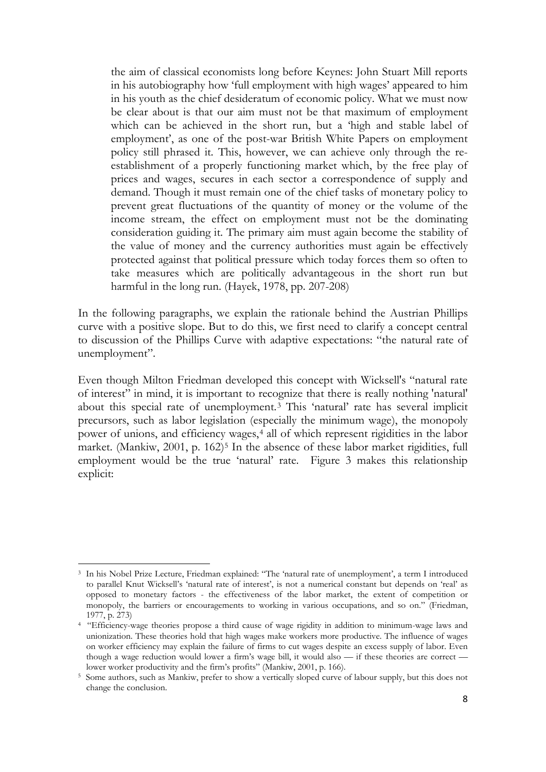the aim of classical economists long before Keynes: John Stuart Mill reports in his autobiography how 'full employment with high wages' appeared to him in his youth as the chief desideratum of economic policy. What we must now be clear about is that our aim must not be that maximum of employment which can be achieved in the short run, but a 'high and stable label of employment', as one of the post-war British White Papers on employment policy still phrased it. This, however, we can achieve only through the reestablishment of a properly functioning market which, by the free play of prices and wages, secures in each sector a correspondence of supply and demand. Though it must remain one of the chief tasks of monetary policy to prevent great fluctuations of the quantity of money or the volume of the income stream, the effect on employment must not be the dominating consideration guiding it. The primary aim must again become the stability of the value of money and the currency authorities must again be effectively protected against that political pressure which today forces them so often to take measures which are politically advantageous in the short run but harmful in the long run. (Hayek, 1978, pp. 207-208)

In the following paragraphs, we explain the rationale behind the Austrian Phillips curve with a positive slope. But to do this, we first need to clarify a concept central to discussion of the Phillips Curve with adaptive expectations: "the natural rate of unemployment".

Even though Milton Friedman developed this concept with Wicksell's "natural rate of interest" in mind, it is important to recognize that there is really nothing 'natural' about this special rate of unemployment.<sup>[3](#page-7-0)</sup> This 'natural' rate has several implicit precursors, such as labor legislation (especially the minimum wage), the monopoly power of unions, and efficiency wages,<sup>[4](#page-7-1)</sup> all of which represent rigidities in the labor market. (Mankiw, 2001, p. 162)<sup>[5](#page-7-2)</sup> In the absence of these labor market rigidities, full employment would be the true 'natural' rate. Figure 3 makes this relationship explicit:

<span id="page-7-0"></span> $\overline{a}$ <sup>3</sup> In his Nobel Prize Lecture, Friedman explained: "The 'natural rate of unemployment', a term I introduced to parallel Knut Wicksell's 'natural rate of interest', is not a numerical constant but depends on 'real' as opposed to monetary factors - the effectiveness of the labor market, the extent of competition or monopoly, the barriers or encouragements to working in various occupations, and so on." (Friedman, 1977, p. 273)

<span id="page-7-1"></span><sup>4</sup> "Efficiency-wage theories propose a third cause of wage rigidity in addition to minimum-wage laws and unionization. These theories hold that high wages make workers more productive. The influence of wages on worker efficiency may explain the failure of firms to cut wages despite an excess supply of labor. Even though a wage reduction would lower a firm's wage bill, it would also — if these theories are correct lower worker productivity and the firm's profits" (Mankiw, 2001, p. 166).

<span id="page-7-2"></span><sup>5</sup> Some authors, such as Mankiw, prefer to show a vertically sloped curve of labour supply, but this does not change the conclusion.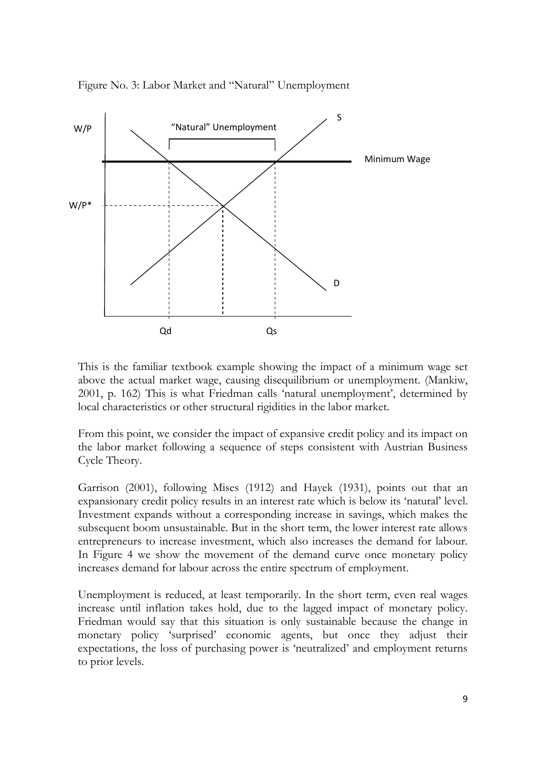

Figure No. 3: Labor Market and "Natural" Unemployment

This is the familiar textbook example showing the impact of a minimum wage set above the actual market wage, causing disequilibrium or unemployment. (Mankiw, 2001, p. 162) This is what Friedman calls 'natural unemployment', determined by local characteristics or other structural rigidities in the labor market.

From this point, we consider the impact of expansive credit policy and its impact on the labor market following a sequence of steps consistent with Austrian Business Cycle Theory.

Garrison (2001), following Mises (1912) and Hayek (1931), points out that an expansionary credit policy results in an interest rate which is below its 'natural' level. Investment expands without a corresponding increase in savings, which makes the subsequent boom unsustainable. But in the short term, the lower interest rate allows entrepreneurs to increase investment, which also increases the demand for labour. In Figure 4 we show the movement of the demand curve once monetary policy increases demand for labour across the entire spectrum of employment.

Unemployment is reduced, at least temporarily. In the short term, even real wages increase until inflation takes hold, due to the lagged impact of monetary policy. Friedman would say that this situation is only sustainable because the change in monetary policy 'surprised' economic agents, but once they adjust their expectations, the loss of purchasing power is 'neutralized' and employment returns to prior levels.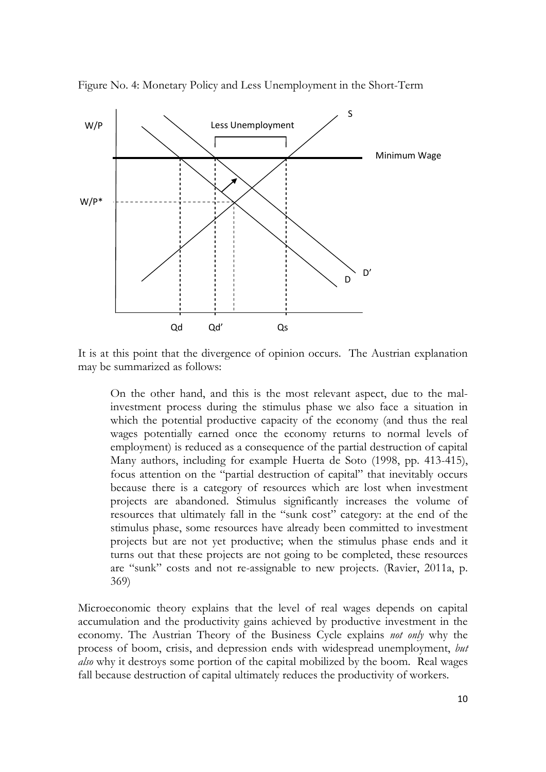

Figure No. 4: Monetary Policy and Less Unemployment in the Short-Term

It is at this point that the divergence of opinion occurs. The Austrian explanation may be summarized as follows:

On the other hand, and this is the most relevant aspect, due to the malinvestment process during the stimulus phase we also face a situation in which the potential productive capacity of the economy (and thus the real wages potentially earned once the economy returns to normal levels of employment) is reduced as a consequence of the partial destruction of capital Many authors, including for example Huerta de Soto (1998, pp. 413-415), focus attention on the "partial destruction of capital" that inevitably occurs because there is a category of resources which are lost when investment projects are abandoned. Stimulus significantly increases the volume of resources that ultimately fall in the "sunk cost" category: at the end of the stimulus phase, some resources have already been committed to investment projects but are not yet productive; when the stimulus phase ends and it turns out that these projects are not going to be completed, these resources are "sunk" costs and not re-assignable to new projects. (Ravier, 2011a, p. 369)

Microeconomic theory explains that the level of real wages depends on capital accumulation and the productivity gains achieved by productive investment in the economy. The Austrian Theory of the Business Cycle explains *not only* why the process of boom, crisis, and depression ends with widespread unemployment, *but also* why it destroys some portion of the capital mobilized by the boom. Real wages fall because destruction of capital ultimately reduces the productivity of workers.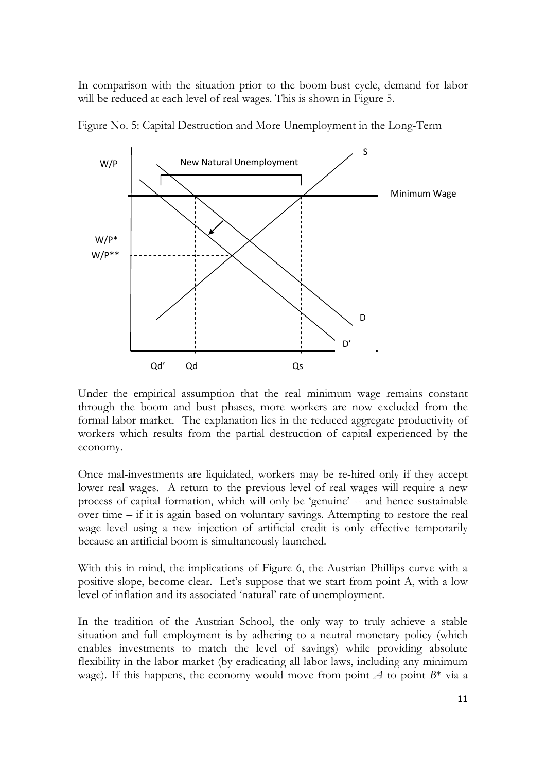In comparison with the situation prior to the boom-bust cycle, demand for labor will be reduced at each level of real wages. This is shown in Figure 5.



Figure No. 5: Capital Destruction and More Unemployment in the Long-Term

Under the empirical assumption that the real minimum wage remains constant through the boom and bust phases, more workers are now excluded from the formal labor market. The explanation lies in the reduced aggregate productivity of workers which results from the partial destruction of capital experienced by the economy.

Once mal-investments are liquidated, workers may be re-hired only if they accept lower real wages. A return to the previous level of real wages will require a new process of capital formation, which will only be 'genuine' -- and hence sustainable over time – if it is again based on voluntary savings. Attempting to restore the real wage level using a new injection of artificial credit is only effective temporarily because an artificial boom is simultaneously launched.

With this in mind, the implications of Figure 6, the Austrian Phillips curve with a positive slope, become clear. Let's suppose that we start from point A, with a low level of inflation and its associated 'natural' rate of unemployment.

In the tradition of the Austrian School, the only way to truly achieve a stable situation and full employment is by adhering to a neutral monetary policy (which enables investments to match the level of savings) while providing absolute flexibility in the labor market (by eradicating all labor laws, including any minimum wage). If this happens, the economy would move from point  $A$  to point  $B^*$  via a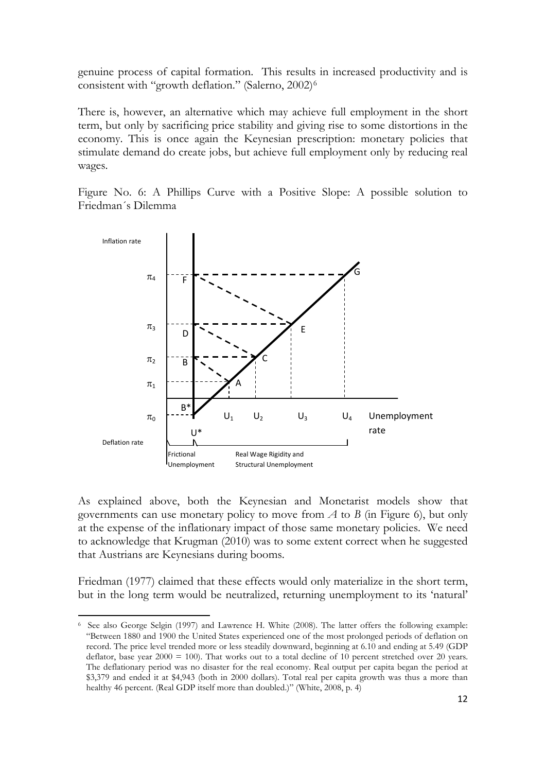genuine process of capital formation. This results in increased productivity and is consistent with "growth deflation." (Salerno, 2002)<sup>[6](#page-11-0)</sup>

There is, however, an alternative which may achieve full employment in the short term, but only by sacrificing price stability and giving rise to some distortions in the economy. This is once again the Keynesian prescription: monetary policies that stimulate demand do create jobs, but achieve full employment only by reducing real wages.

Figure No. 6: A Phillips Curve with a Positive Slope: A possible solution to Friedman´s Dilemma



As explained above, both the Keynesian and Monetarist models show that governments can use monetary policy to move from *A* to *B* (in Figure 6), but only at the expense of the inflationary impact of those same monetary policies. We need to acknowledge that Krugman (2010) was to some extent correct when he suggested that Austrians are Keynesians during booms.

Friedman (1977) claimed that these effects would only materialize in the short term, but in the long term would be neutralized, returning unemployment to its 'natural'

<span id="page-11-0"></span> $\overline{a}$ 6 See also George Selgin (1997) and Lawrence H. White (2008). The latter offers the following example: "Between 1880 and 1900 the United States experienced one of the most prolonged periods of deflation on record. The price level trended more or less steadily downward, beginning at 6.10 and ending at 5.49 (GDP deflator, base year  $2000 = 100$ ). That works out to a total decline of 10 percent stretched over 20 years. The deflationary period was no disaster for the real economy. Real output per capita began the period at \$3,379 and ended it at \$4,943 (both in 2000 dollars). Total real per capita growth was thus a more than healthy 46 percent. (Real GDP itself more than doubled.)" (White, 2008, p. 4)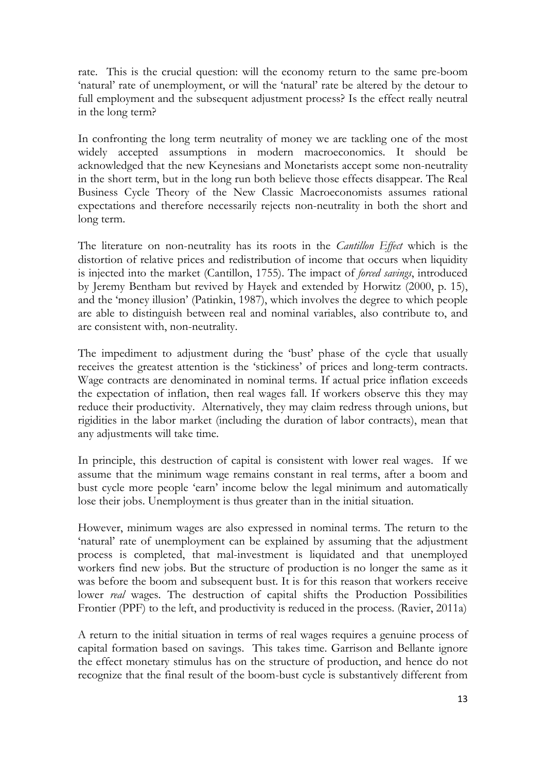rate. This is the crucial question: will the economy return to the same pre-boom 'natural' rate of unemployment, or will the 'natural' rate be altered by the detour to full employment and the subsequent adjustment process? Is the effect really neutral in the long term?

In confronting the long term neutrality of money we are tackling one of the most widely accepted assumptions in modern macroeconomics. It should be acknowledged that the new Keynesians and Monetarists accept some non-neutrality in the short term, but in the long run both believe those effects disappear. The Real Business Cycle Theory of the New Classic Macroeconomists assumes rational expectations and therefore necessarily rejects non-neutrality in both the short and long term.

The literature on non-neutrality has its roots in the *Cantillon Effect* which is the distortion of relative prices and redistribution of income that occurs when liquidity is injected into the market (Cantillon, 1755). The impact of *forced savings*, introduced by Jeremy Bentham but revived by Hayek and extended by Horwitz (2000, p. 15), and the 'money illusion' (Patinkin, 1987), which involves the degree to which people are able to distinguish between real and nominal variables, also contribute to, and are consistent with, non-neutrality.

The impediment to adjustment during the 'bust' phase of the cycle that usually receives the greatest attention is the 'stickiness' of prices and long-term contracts. Wage contracts are denominated in nominal terms. If actual price inflation exceeds the expectation of inflation, then real wages fall. If workers observe this they may reduce their productivity. Alternatively, they may claim redress through unions, but rigidities in the labor market (including the duration of labor contracts), mean that any adjustments will take time.

In principle, this destruction of capital is consistent with lower real wages. If we assume that the minimum wage remains constant in real terms, after a boom and bust cycle more people 'earn' income below the legal minimum and automatically lose their jobs. Unemployment is thus greater than in the initial situation.

However, minimum wages are also expressed in nominal terms. The return to the 'natural' rate of unemployment can be explained by assuming that the adjustment process is completed, that mal-investment is liquidated and that unemployed workers find new jobs. But the structure of production is no longer the same as it was before the boom and subsequent bust. It is for this reason that workers receive lower *real* wages. The destruction of capital shifts the Production Possibilities Frontier (PPF) to the left, and productivity is reduced in the process. (Ravier, 2011a)

A return to the initial situation in terms of real wages requires a genuine process of capital formation based on savings. This takes time. Garrison and Bellante ignore the effect monetary stimulus has on the structure of production, and hence do not recognize that the final result of the boom-bust cycle is substantively different from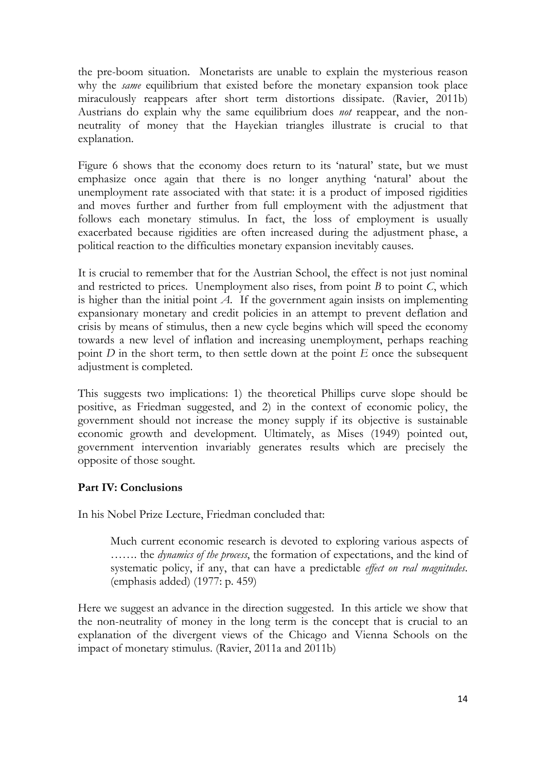the pre-boom situation. Monetarists are unable to explain the mysterious reason why the *same* equilibrium that existed before the monetary expansion took place miraculously reappears after short term distortions dissipate. (Ravier, 2011b) Austrians do explain why the same equilibrium does *not* reappear, and the nonneutrality of money that the Hayekian triangles illustrate is crucial to that explanation.

Figure 6 shows that the economy does return to its 'natural' state, but we must emphasize once again that there is no longer anything 'natural' about the unemployment rate associated with that state: it is a product of imposed rigidities and moves further and further from full employment with the adjustment that follows each monetary stimulus. In fact, the loss of employment is usually exacerbated because rigidities are often increased during the adjustment phase, a political reaction to the difficulties monetary expansion inevitably causes.

It is crucial to remember that for the Austrian School, the effect is not just nominal and restricted to prices. Unemployment also rises, from point *B* to point *C*, which is higher than the initial point  $A$ . If the government again insists on implementing expansionary monetary and credit policies in an attempt to prevent deflation and crisis by means of stimulus, then a new cycle begins which will speed the economy towards a new level of inflation and increasing unemployment, perhaps reaching point *D* in the short term, to then settle down at the point *E* once the subsequent adjustment is completed.

This suggests two implications: 1) the theoretical Phillips curve slope should be positive, as Friedman suggested, and 2) in the context of economic policy, the government should not increase the money supply if its objective is sustainable economic growth and development. Ultimately, as Mises (1949) pointed out, government intervention invariably generates results which are precisely the opposite of those sought.

# **Part IV: Conclusions**

In his Nobel Prize Lecture, Friedman concluded that:

Much current economic research is devoted to exploring various aspects of ……. the *dynamics of the process*, the formation of expectations, and the kind of systematic policy, if any, that can have a predictable *effect on real magnitudes*. (emphasis added) (1977: p. 459)

Here we suggest an advance in the direction suggested. In this article we show that the non-neutrality of money in the long term is the concept that is crucial to an explanation of the divergent views of the Chicago and Vienna Schools on the impact of monetary stimulus. (Ravier, 2011a and 2011b)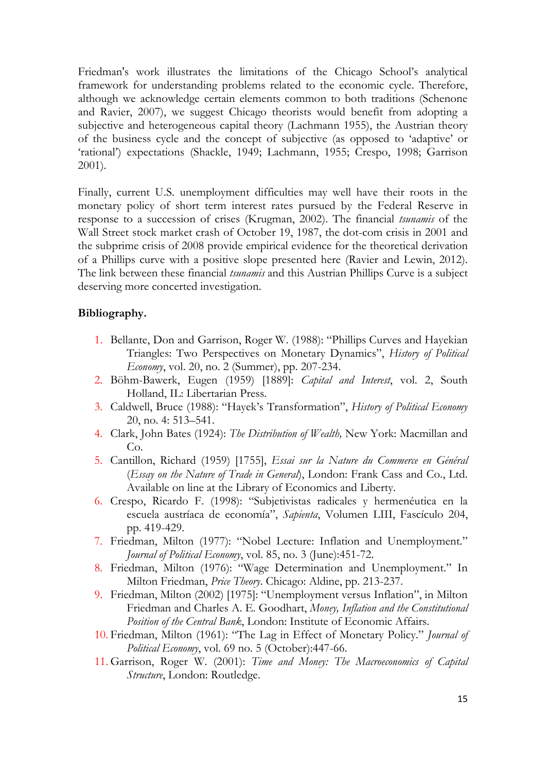Friedman's work illustrates the limitations of the Chicago School's analytical framework for understanding problems related to the economic cycle. Therefore, although we acknowledge certain elements common to both traditions (Schenone and Ravier, 2007), we suggest Chicago theorists would benefit from adopting a subjective and heterogeneous capital theory (Lachmann 1955), the Austrian theory of the business cycle and the concept of subjective (as opposed to 'adaptive' or 'rational') expectations (Shackle, 1949; Lachmann, 1955; Crespo, 1998; Garrison 2001).

Finally, current U.S. unemployment difficulties may well have their roots in the monetary policy of short term interest rates pursued by the Federal Reserve in response to a succession of crises (Krugman, 2002). The financial *tsunamis* of the Wall Street stock market crash of October 19, 1987, the dot-com crisis in 2001 and the subprime crisis of 2008 provide empirical evidence for the theoretical derivation of a Phillips curve with a positive slope presented here (Ravier and Lewin, 2012). The link between these financial *tsunamis* and this Austrian Phillips Curve is a subject deserving more concerted investigation.

### **Bibliography.**

- 1. Bellante, Don and Garrison, Roger W. (1988): "Phillips Curves and Hayekian Triangles: Two Perspectives on Monetary Dynamics", *History of Political Economy*, vol. 20, no. 2 (Summer), pp. 207-234.
- 2. Böhm-Bawerk, Eugen (1959) [1889]: *Capital and Interest*, vol. 2, South Holland, IL: Libertarian Press.
- 3. Caldwell, Bruce (1988): "Hayek's Transformation", *History of Political Economy* 20, no. 4: 513–541.
- 4. Clark, John Bates (1924): *The Distribution of Wealth,* New York: Macmillan and Co.
- 5. Cantillon, Richard (1959) [1755], *Essai sur la Nature du Commerce en Général* (*Essay on the Nature of Trade in General*), London: Frank Cass and Co., Ltd. Available on line at the Library of Economics and Liberty.
- 6. Crespo, Ricardo F. (1998): "Subjetivistas radicales y hermenéutica en la escuela austríaca de economía", *Sapienta*, Volumen LIII, Fascículo 204, pp. 419-429.
- 7. Friedman, Milton (1977): "Nobel Lecture: Inflation and Unemployment." *Journal of Political Economy*, vol. 85, no. 3 (June):451-72.
- 8. Friedman, Milton (1976): "Wage Determination and Unemployment." In Milton Friedman, *Price Theory*. Chicago: Aldine, pp. 213-237.
- 9. Friedman, Milton (2002) [1975]: "Unemployment versus Inflation", in Milton Friedman and Charles A. E. Goodhart, *Money, Inflation and the Constitutional Position of the Central Bank*, London: Institute of Economic Affairs.
- 10. Friedman, Milton (1961): "The Lag in Effect of Monetary Policy." *Journal of Political Economy*, vol. 69 no. 5 (October):447-66.
- 11. Garrison, Roger W. (2001): *Time and Money: The Macroeconomics of Capital Structure*, London: Routledge.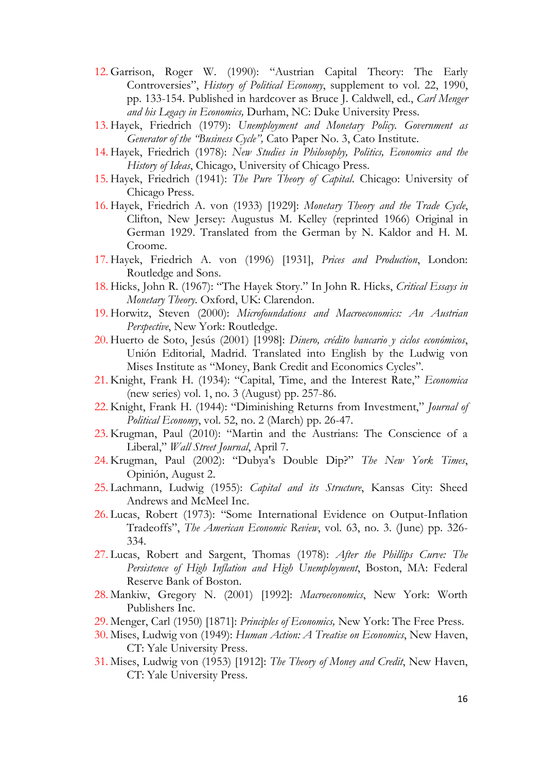- 12. Garrison, Roger W. (1990): "Austrian Capital Theory: The Early Controversies", *History of Political Economy*, supplement to vol. 22, 1990, pp. 133-154. Published in hardcover as Bruce J. Caldwell, ed., *Carl Menger and his Legacy in Economics,* Durham, NC: Duke University Press.
- 13. Hayek, Friedrich (1979): *Unemployment and Monetary Policy. Government as Generator of the "Business Cycle",* Cato Paper No. 3, Cato Institute.
- 14. Hayek, Friedrich (1978): *New Studies in Philosophy, Politics, Economics and the History of Ideas*, Chicago, University of Chicago Press.
- 15. Hayek, Friedrich (1941): *The Pure Theory of Capital*. Chicago: University of Chicago Press.
- 16. Hayek, Friedrich A. von (1933) [1929]: *Monetary Theory and the Trade Cycle*, Clifton, New Jersey: Augustus M. Kelley (reprinted 1966) Original in German 1929. Translated from the German by N. Kaldor and H. M. Croome.
- 17. Hayek, Friedrich A. von (1996) [1931], *Prices and Production*, London: Routledge and Sons.
- 18. Hicks, John R. (1967): "The Hayek Story." In John R. Hicks, *Critical Essays in Monetary Theory*. Oxford, UK: Clarendon.
- 19. Horwitz, Steven (2000): *Microfoundations and Macroeconomics: An Austrian Perspective*, New York: Routledge.
- 20. Huerto de Soto, Jesús (2001) [1998]: *Dinero, crédito bancario y ciclos económicos*, Unión Editorial, Madrid. Translated into English by the Ludwig von Mises Institute as "Money, Bank Credit and Economics Cycles".
- 21. Knight, Frank H. (1934): "Capital, Time, and the Interest Rate," *Economica*  (new series) vol. 1, no. 3 (August) pp. 257-86.
- 22. Knight, Frank H. (1944): "Diminishing Returns from Investment," *Journal of Political Economy*, vol. 52, no. 2 (March) pp. 26-47.
- 23. Krugman, Paul (2010): "Martin and the Austrians: The Conscience of a Liberal," *Wall Street Journal*, April 7.
- 24. Krugman, Paul (2002): "Dubya's Double Dip?" *The New York Times*, Opinión, August 2.
- 25. Lachmann, Ludwig (1955): *Capital and its Structure*, Kansas City: Sheed Andrews and McMeel Inc.
- 26. Lucas, Robert (1973): "Some International Evidence on Output-Inflation Tradeoffs", *The American Economic Review*, vol. 63, no. 3. (June) pp. 326- 334.
- 27. Lucas, Robert and Sargent, Thomas (1978): *After the Phillips Curve: The Persistence of High Inflation and High Unemployment*, Boston, MA: Federal Reserve Bank of Boston.
- 28. Mankiw, Gregory N. (2001) [1992]: *Macroeconomics*, New York: Worth Publishers Inc.
- 29. Menger, Carl (1950) [1871]: *Principles of Economics,* New York: The Free Press.
- 30. Mises, Ludwig von (1949): *Human Action: A Treatise on Economics*, New Haven, CT: Yale University Press.
- 31. Mises, Ludwig von (1953) [1912]: *The Theory of Money and Credit*, New Haven, CT: Yale University Press.